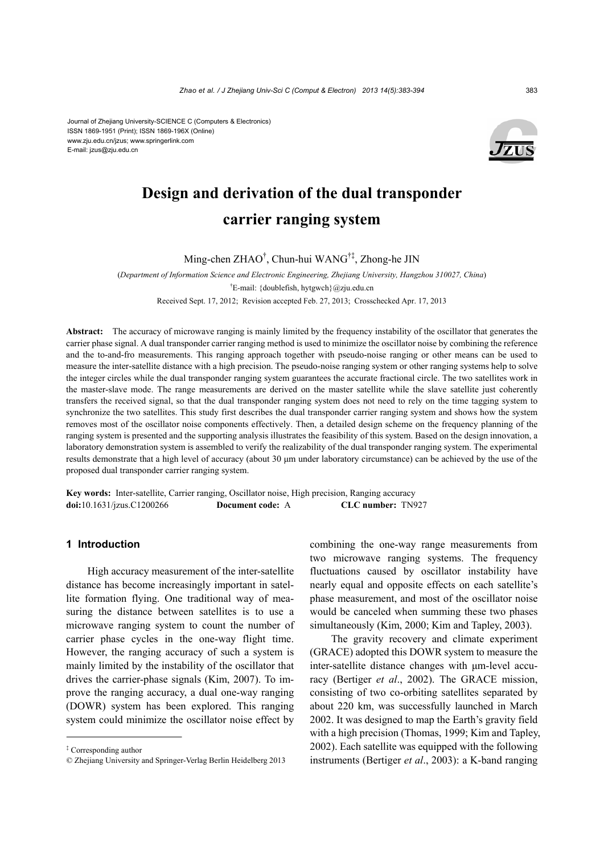Journal of Zhejiang University-SCIENCE C (Computers & Electronics) ISSN 1869-1951 (Print); ISSN 1869-196X (Online) www.zju.edu.cn/jzus; www.springerlink.com E-mail: jzus@zju.edu.cn



# **Design and derivation of the dual transponder carrier ranging system**

Ming-chen ZHAO† , Chun-hui WANG†‡, Zhong-he JIN

(*Department of Information Science and Electronic Engineering, Zhejiang University, Hangzhou 310027, China*) † E-mail: {doublefish, hytgwch}@zju.edu.cn Received Sept. 17, 2012; Revision accepted Feb. 27, 2013; Crosschecked Apr. 17, 2013

**Abstract:**The accuracy of microwave ranging is mainly limited by the frequency instability of the oscillator that generates the carrier phase signal. A dual transponder carrier ranging method is used to minimize the oscillator noise by combining the reference and the to-and-fro measurements. This ranging approach together with pseudo-noise ranging or other means can be used to measure the inter-satellite distance with a high precision. The pseudo-noise ranging system or other ranging systems help to solve the integer circles while the dual transponder ranging system guarantees the accurate fractional circle. The two satellites work in the master-slave mode. The range measurements are derived on the master satellite while the slave satellite just coherently transfers the received signal, so that the dual transponder ranging system does not need to rely on the time tagging system to synchronize the two satellites. This study first describes the dual transponder carrier ranging system and shows how the system removes most of the oscillator noise components effectively. Then, a detailed design scheme on the frequency planning of the ranging system is presented and the supporting analysis illustrates the feasibility of this system. Based on the design innovation, a laboratory demonstration system is assembled to verify the realizability of the dual transponder ranging system. The experimental results demonstrate that a high level of accuracy (about 30 μm under laboratory circumstance) can be achieved by the use of the proposed dual transponder carrier ranging system.

**Key words:**Inter-satellite, Carrier ranging, Oscillator noise, High precision, Ranging accuracy **doi:**10.1631/jzus.C1200266 **Document code:** A **CLC number:** TN927

# **1 Introduction**

High accuracy measurement of the inter-satellite distance has become increasingly important in satellite formation flying. One traditional way of measuring the distance between satellites is to use a microwave ranging system to count the number of carrier phase cycles in the one-way flight time. However, the ranging accuracy of such a system is mainly limited by the instability of the oscillator that drives the carrier-phase signals (Kim, 2007). To improve the ranging accuracy, a dual one-way ranging (DOWR) system has been explored. This ranging system could minimize the oscillator noise effect by combining the one-way range measurements from two microwave ranging systems. The frequency fluctuations caused by oscillator instability have nearly equal and opposite effects on each satellite's phase measurement, and most of the oscillator noise would be canceled when summing these two phases simultaneously (Kim, 2000; Kim and Tapley, 2003).

The gravity recovery and climate experiment (GRACE) adopted this DOWR system to measure the inter-satellite distance changes with μm-level accuracy (Bertiger *et al*., 2002). The GRACE mission, consisting of two co-orbiting satellites separated by about 220 km, was successfully launched in March 2002. It was designed to map the Earth's gravity field with a high precision (Thomas, 1999; Kim and Tapley, 2002). Each satellite was equipped with the following instruments (Bertiger *et al*., 2003): a K-band ranging

<sup>‡</sup> Corresponding author

<sup>©</sup> Zhejiang University and Springer-Verlag Berlin Heidelberg 2013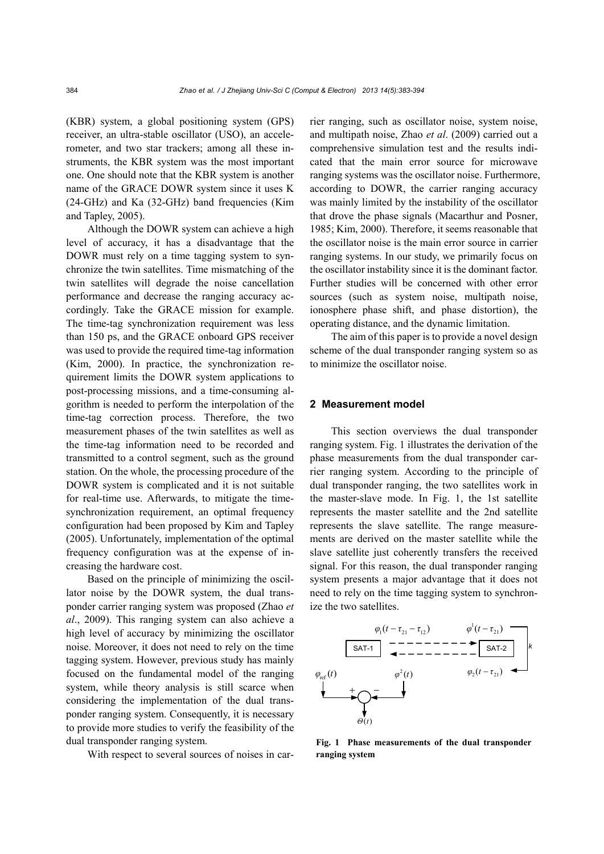(KBR) system, a global positioning system (GPS) receiver, an ultra-stable oscillator (USO), an accelerometer, and two star trackers; among all these instruments, the KBR system was the most important one. One should note that the KBR system is another name of the GRACE DOWR system since it uses K (24-GHz) and Ka (32-GHz) band frequencies (Kim and Tapley, 2005).

Although the DOWR system can achieve a high level of accuracy, it has a disadvantage that the DOWR must rely on a time tagging system to synchronize the twin satellites. Time mismatching of the twin satellites will degrade the noise cancellation performance and decrease the ranging accuracy accordingly. Take the GRACE mission for example. The time-tag synchronization requirement was less than 150 ps, and the GRACE onboard GPS receiver was used to provide the required time-tag information (Kim, 2000). In practice, the synchronization requirement limits the DOWR system applications to post-processing missions, and a time-consuming algorithm is needed to perform the interpolation of the time-tag correction process. Therefore, the two measurement phases of the twin satellites as well as the time-tag information need to be recorded and transmitted to a control segment, such as the ground station. On the whole, the processing procedure of the DOWR system is complicated and it is not suitable for real-time use. Afterwards, to mitigate the timesynchronization requirement, an optimal frequency configuration had been proposed by Kim and Tapley (2005). Unfortunately, implementation of the optimal frequency configuration was at the expense of increasing the hardware cost.

Based on the principle of minimizing the oscillator noise by the DOWR system, the dual transponder carrier ranging system was proposed (Zhao *et al*., 2009). This ranging system can also achieve a high level of accuracy by minimizing the oscillator noise. Moreover, it does not need to rely on the time tagging system. However, previous study has mainly focused on the fundamental model of the ranging system, while theory analysis is still scarce when considering the implementation of the dual transponder ranging system. Consequently, it is necessary to provide more studies to verify the feasibility of the dual transponder ranging system.

With respect to several sources of noises in car-

rier ranging, such as oscillator noise, system noise, and multipath noise, Zhao *et al*. (2009) carried out a comprehensive simulation test and the results indicated that the main error source for microwave ranging systems was the oscillator noise. Furthermore, according to DOWR, the carrier ranging accuracy was mainly limited by the instability of the oscillator that drove the phase signals (Macarthur and Posner, 1985; Kim, 2000). Therefore, it seems reasonable that the oscillator noise is the main error source in carrier ranging systems. In our study, we primarily focus on the oscillator instability since it is the dominant factor. Further studies will be concerned with other error sources (such as system noise, multipath noise, ionosphere phase shift, and phase distortion), the operating distance, and the dynamic limitation.

The aim of this paper is to provide a novel design scheme of the dual transponder ranging system so as to minimize the oscillator noise.

# **2 Measurement model**

This section overviews the dual transponder ranging system. Fig. 1 illustrates the derivation of the phase measurements from the dual transponder carrier ranging system. According to the principle of dual transponder ranging, the two satellites work in the master-slave mode. In Fig. 1, the 1st satellite represents the master satellite and the 2nd satellite represents the slave satellite. The range measurements are derived on the master satellite while the slave satellite just coherently transfers the received signal. For this reason, the dual transponder ranging system presents a major advantage that it does not need to rely on the time tagging system to synchronize the two satellites.



**Fig. 1 Phase measurements of the dual transponder ranging system**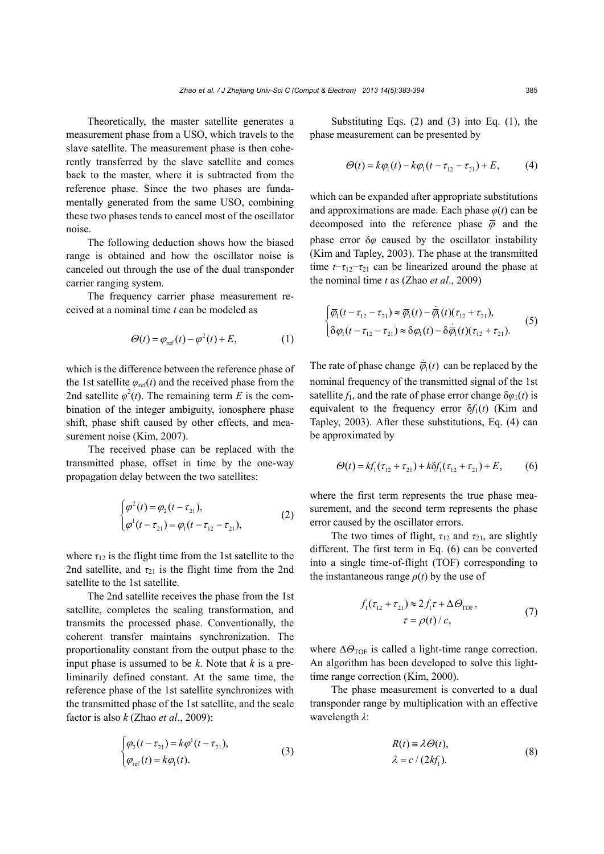Theoretically, the master satellite generates a measurement phase from a USO, which travels to the slave satellite. The measurement phase is then coherently transferred by the slave satellite and comes back to the master, where it is subtracted from the reference phase. Since the two phases are fundamentally generated from the same USO, combining these two phases tends to cancel most of the oscillator noise.

The following deduction shows how the biased range is obtained and how the oscillator noise is canceled out through the use of the dual transponder carrier ranging system.

The frequency carrier phase measurement received at a nominal time *t* can be modeled as

$$
\Theta(t) = \varphi_{\text{ref}}(t) - \varphi^2(t) + E,\tag{1}
$$

which is the difference between the reference phase of the 1st satellite  $\varphi_{ref}(t)$  and the received phase from the 2nd satellite  $\varphi^2(t)$ . The remaining term *E* is the combination of the integer ambiguity, ionosphere phase shift, phase shift caused by other effects, and measurement noise (Kim, 2007).

The received phase can be replaced with the transmitted phase, offset in time by the one-way propagation delay between the two satellites:

$$
\begin{cases}\n\varphi^2(t) = \varphi_2(t - \tau_{21}), \\
\varphi^1(t - \tau_{21}) = \varphi_1(t - \tau_{12} - \tau_{21}),\n\end{cases}
$$
\n(2)

where  $\tau_{12}$  is the flight time from the 1st satellite to the 2nd satellite, and  $\tau_{21}$  is the flight time from the 2nd satellite to the 1st satellite.

The 2nd satellite receives the phase from the 1st satellite, completes the scaling transformation, and transmits the processed phase. Conventionally, the coherent transfer maintains synchronization. The proportionality constant from the output phase to the input phase is assumed to be *k*. Note that *k* is a preliminarily defined constant. At the same time, the reference phase of the 1st satellite synchronizes with the transmitted phase of the 1st satellite, and the scale factor is also *k* (Zhao *et al*., 2009):

$$
\begin{cases} \varphi_2(t - \tau_{21}) = k\varphi^1(t - \tau_{21}), \\ \varphi_{\text{ref}}(t) = k\varphi_1(t). \end{cases} \tag{3}
$$

Substituting Eqs. (2) and (3) into Eq. (1), the phase measurement can be presented by

$$
\Theta(t) = k\varphi_1(t) - k\varphi_1(t - \tau_{12} - \tau_{21}) + E, \tag{4}
$$

which can be expanded after appropriate substitutions and approximations are made. Each phase *φ*(*t*) can be decomposed into the reference phase  $\bar{\varphi}$  and the phase error  $\delta\varphi$  caused by the oscillator instability (Kim and Tapley, 2003). The phase at the transmitted time  $t-\tau_{12}-\tau_{21}$  can be linearized around the phase at the nominal time *t* as (Zhao *et al*., 2009)

$$
\begin{cases} \overline{\varphi}_1(t-\tau_{12}-\tau_{21}) \approx \overline{\varphi}_1(t) - \dot{\overline{\varphi}}_1(t)(\tau_{12}+\tau_{21}), \\ \delta \varphi_1(t-\tau_{12}-\tau_{21}) \approx \delta \varphi_1(t) - \delta \dot{\overline{\varphi}}_1(t)(\tau_{12}+\tau_{21}). \end{cases} (5)
$$

The rate of phase change  $\dot{\overline{\phi}}_1(t)$  can be replaced by the nominal frequency of the transmitted signal of the 1st satellite  $f_1$ , and the rate of phase error change  $\delta\varphi_1(t)$  is equivalent to the frequency error  $\delta f_1(t)$  (Kim and Tapley, 2003). After these substitutions, Eq. (4) can be approximated by

$$
\Theta(t) = kf_1(\tau_{12} + \tau_{21}) + k\delta f_1(\tau_{12} + \tau_{21}) + E, \tag{6}
$$

where the first term represents the true phase measurement, and the second term represents the phase error caused by the oscillator errors.

The two times of flight,  $\tau_{12}$  and  $\tau_{21}$ , are slightly different. The first term in Eq. (6) can be converted into a single time-of-flight (TOF) corresponding to the instantaneous range  $\rho(t)$  by the use of

$$
f_1(\tau_{12} + \tau_{21}) \approx 2f_1\tau + \Delta\Theta_{\text{TOF}},
$$
  
\n
$$
\tau = \rho(t) / c,
$$
\n(7)

where  $\Delta\Theta_{\text{TOF}}$  is called a light-time range correction. An algorithm has been developed to solve this lighttime range correction (Kim, 2000).

The phase measurement is converted to a dual transponder range by multiplication with an effective wavelength *λ*:

$$
R(t) \equiv \lambda \Theta(t),
$$
  
\n
$$
\lambda = c / (2kf_1).
$$
\n(8)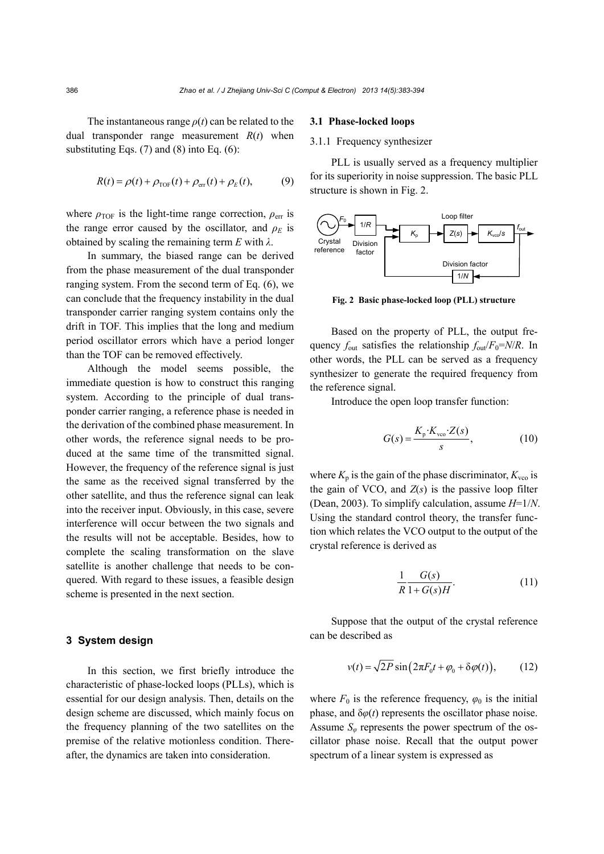The instantaneous range  $\rho(t)$  can be related to the dual transponder range measurement *R*(*t*) when substituting Eqs.  $(7)$  and  $(8)$  into Eq.  $(6)$ :

$$
R(t) = \rho(t) + \rho_{\text{TOF}}(t) + \rho_{\text{err}}(t) + \rho_E(t),
$$
 (9)

where  $\rho_{\text{TOF}}$  is the light-time range correction,  $\rho_{\text{err}}$  is the range error caused by the oscillator, and  $\rho_E$  is obtained by scaling the remaining term *E* with *λ*.

In summary, the biased range can be derived from the phase measurement of the dual transponder ranging system. From the second term of Eq. (6), we can conclude that the frequency instability in the dual transponder carrier ranging system contains only the drift in TOF. This implies that the long and medium period oscillator errors which have a period longer than the TOF can be removed effectively.

Although the model seems possible, the immediate question is how to construct this ranging system. According to the principle of dual transponder carrier ranging, a reference phase is needed in the derivation of the combined phase measurement. In other words, the reference signal needs to be produced at the same time of the transmitted signal. However, the frequency of the reference signal is just the same as the received signal transferred by the other satellite, and thus the reference signal can leak into the receiver input. Obviously, in this case, severe interference will occur between the two signals and the results will not be acceptable. Besides, how to complete the scaling transformation on the slave satellite is another challenge that needs to be conquered. With regard to these issues, a feasible design scheme is presented in the next section.

# **3 System design**

In this section, we first briefly introduce the characteristic of phase-locked loops (PLLs), which is essential for our design analysis. Then, details on the design scheme are discussed, which mainly focus on the frequency planning of the two satellites on the premise of the relative motionless condition. Thereafter, the dynamics are taken into consideration.

#### **3.1 Phase-locked loops**

#### 3.1.1 Frequency synthesizer

PLL is usually served as a frequency multiplier for its superiority in noise suppression. The basic PLL structure is shown in Fig. 2.



**Fig. 2 Basic phase-locked loop (PLL) structure** 

Based on the property of PLL, the output frequency  $f_{\text{out}}$  satisfies the relationship  $f_{\text{out}}/F_0 = N/R$ . In other words, the PLL can be served as a frequency synthesizer to generate the required frequency from the reference signal.

Introduce the open loop transfer function:

$$
G(s) = \frac{K_{\rm p} \cdot K_{\rm vco} \cdot Z(s)}{s},
$$
 (10)

where  $K_p$  is the gain of the phase discriminator,  $K_{\text{vco}}$  is the gain of VCO, and *Z*(*s*) is the passive loop filter (Dean, 2003). To simplify calculation, assume *H*=1/*N*. Using the standard control theory, the transfer function which relates the VCO output to the output of the crystal reference is derived as

$$
\frac{1}{R} \frac{G(s)}{1 + G(s)H}.\tag{11}
$$

Suppose that the output of the crystal reference can be described as

$$
v(t) = \sqrt{2P} \sin(2\pi F_0 t + \varphi_0 + \delta \varphi(t)), \qquad (12)
$$

where  $F_0$  is the reference frequency,  $\varphi_0$  is the initial phase, and  $\delta\varphi(t)$  represents the oscillator phase noise. Assume  $S_\varphi$  represents the power spectrum of the oscillator phase noise. Recall that the output power spectrum of a linear system is expressed as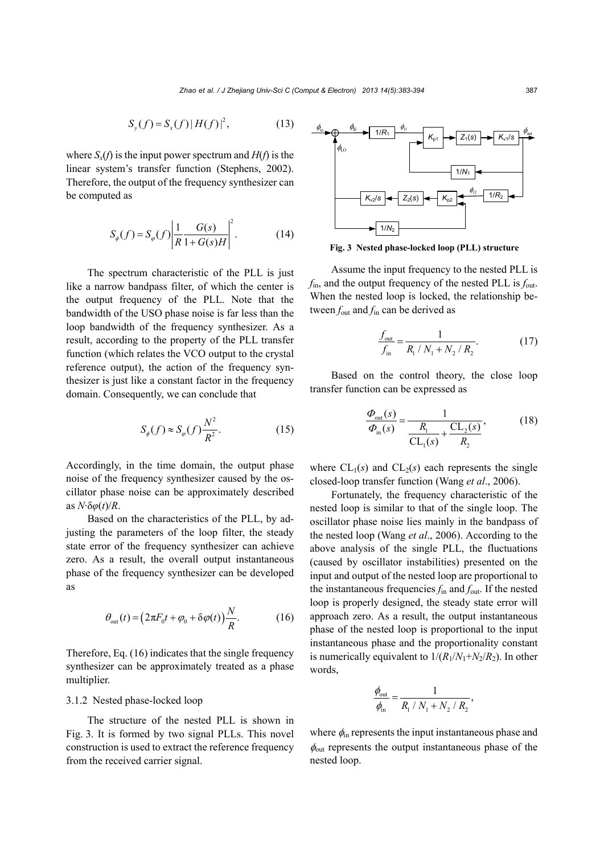$$
S_y(f) = S_x(f) |H(f)|^2, \tag{13}
$$

where  $S_x(f)$  is the input power spectrum and  $H(f)$  is the linear system's transfer function (Stephens, 2002). Therefore, the output of the frequency synthesizer can be computed as

$$
S_{\phi}(f) = S_{\phi}(f) \left| \frac{1}{R} \frac{G(s)}{1 + G(s)H} \right|^2.
$$
 (14)

The spectrum characteristic of the PLL is just like a narrow bandpass filter, of which the center is the output frequency of the PLL. Note that the bandwidth of the USO phase noise is far less than the loop bandwidth of the frequency synthesizer. As a result, according to the property of the PLL transfer function (which relates the VCO output to the crystal reference output), the action of the frequency synthesizer is just like a constant factor in the frequency domain. Consequently, we can conclude that

$$
S_{\phi}(f) \approx S_{\phi}(f) \frac{N^2}{R^2}.
$$
 (15)

Accordingly, in the time domain, the output phase noise of the frequency synthesizer caused by the oscillator phase noise can be approximately described as *N*·δ*φ*(*t*)/*R*.

Based on the characteristics of the PLL, by adjusting the parameters of the loop filter, the steady state error of the frequency synthesizer can achieve zero. As a result, the overall output instantaneous phase of the frequency synthesizer can be developed as

$$
\theta_{\text{out}}(t) = \left(2\pi F_0 t + \varphi_0 + \delta\varphi(t)\right)\frac{N}{R}.\tag{16}
$$

Therefore, Eq. (16) indicates that the single frequency synthesizer can be approximately treated as a phase multiplier.

# 3.1.2 Nested phase-locked loop

The structure of the nested PLL is shown in Fig. 3. It is formed by two signal PLLs. This novel construction is used to extract the reference frequency from the received carrier signal.



**Fig. 3 Nested phase-locked loop (PLL) structure**

Assume the input frequency to the nested PLL is  $f_{in}$ , and the output frequency of the nested PLL is  $f_{out}$ . When the nested loop is locked, the relationship between *f*out and *f*in can be derived as

$$
\frac{f_{\text{out}}}{f_{\text{in}}} = \frac{1}{R_1 / N_1 + N_2 / R_2}.
$$
 (17)

Based on the control theory, the close loop transfer function can be expressed as

$$
\frac{\Phi_{\text{out}}(s)}{\Phi_{\text{in}}(s)} = \frac{1}{\frac{R_1}{CL_1(s)} + \frac{CL_2(s)}{R_2}},
$$
(18)

where  $CL_1(s)$  and  $CL_2(s)$  each represents the single closed-loop transfer function (Wang *et al*., 2006).

Fortunately, the frequency characteristic of the nested loop is similar to that of the single loop. The oscillator phase noise lies mainly in the bandpass of the nested loop (Wang *et al*., 2006). According to the above analysis of the single PLL, the fluctuations (caused by oscillator instabilities) presented on the input and output of the nested loop are proportional to the instantaneous frequencies  $f_{\text{in}}$  and  $f_{\text{out}}$ . If the nested loop is properly designed, the steady state error will approach zero. As a result, the output instantaneous phase of the nested loop is proportional to the input instantaneous phase and the proportionality constant is numerically equivalent to  $1/(R_1/N_1+N_2/R_2)$ . In other words,

$$
\frac{\phi_{\text{out}}}{\phi_{\text{in}}} = \frac{1}{R_1 / N_1 + N_2 / R_2},
$$

where  $\phi$ <sub>in</sub> represents the input instantaneous phase and  $\phi_{\text{out}}$  represents the output instantaneous phase of the nested loop.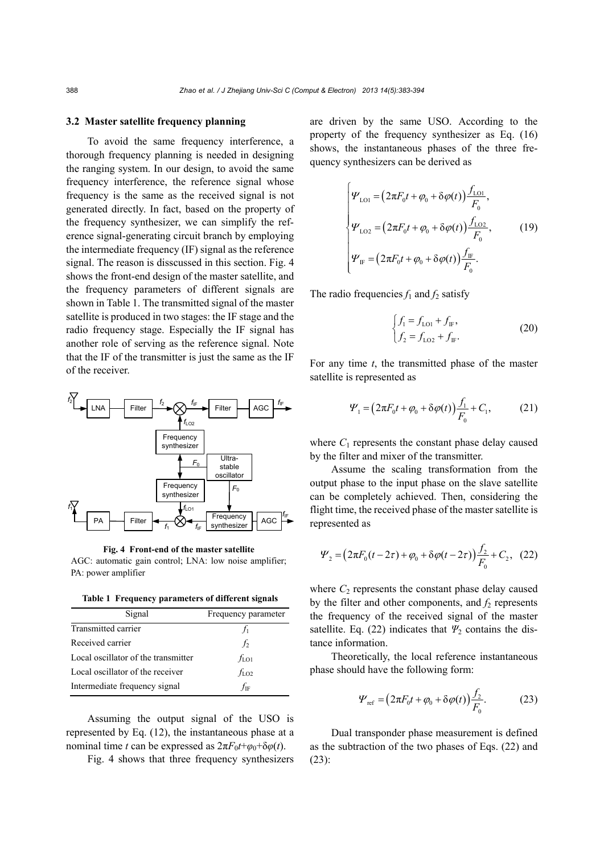#### **3.2 Master satellite frequency planning**

To avoid the same frequency interference, a thorough frequency planning is needed in designing the ranging system. In our design, to avoid the same frequency interference, the reference signal whose frequency is the same as the received signal is not generated directly. In fact, based on the property of the frequency synthesizer, we can simplify the reference signal-generating circuit branch by employing the intermediate frequency (IF) signal as the reference signal. The reason is disscussed in this section. Fig. 4 shows the front-end design of the master satellite, and the frequency parameters of different signals are shown in Table 1. The transmitted signal of the master satellite is produced in two stages: the IF stage and the radio frequency stage. Especially the IF signal has another role of serving as the reference signal. Note that the IF of the transmitter is just the same as the IF of the receiver.



**Fig. 4 Front-end of the master satellite** 

AGC: automatic gain control; LNA: low noise amplifier; PA: power amplifier

**Table 1 Frequency parameters of different signals** 

| Signal                              | Frequency parameter |
|-------------------------------------|---------------------|
| Transmitted carrier                 | r <sub>1</sub>      |
| Received carrier                    | f <sub>2</sub>      |
| Local oscillator of the transmitter | $f_{\rm LO1}$       |
| Local oscillator of the receiver    | $f_{\rm LO2}$       |
| Intermediate frequency signal       | $f_{IF}$            |

Assuming the output signal of the USO is represented by Eq. (12), the instantaneous phase at a nominal time *t* can be expressed as  $2\pi F_0 t + \varphi_0 + \delta \varphi(t)$ .

Fig. 4 shows that three frequency synthesizers

are driven by the same USO. According to the property of the frequency synthesizer as Eq. (16) shows, the instantaneous phases of the three frequency synthesizers can be derived as

$$
\begin{cases}\n\Psi_{\text{LO1}} = \left(2\pi F_0 t + \varphi_0 + \delta \varphi(t)\right) \frac{f_{\text{LO1}}}{F_0}, \\
\Psi_{\text{LO2}} = \left(2\pi F_0 t + \varphi_0 + \delta \varphi(t)\right) \frac{f_{\text{LO2}}}{F_0}, \\
\Psi_{\text{IF}} = \left(2\pi F_0 t + \varphi_0 + \delta \varphi(t)\right) \frac{f_{\text{IF}}}{F_0}.\n\end{cases}
$$
\n(19)

The radio frequencies  $f_1$  and  $f_2$  satisfy

$$
\begin{cases} f_1 = f_{\text{LO1}} + f_{\text{IF}}, \\ f_2 = f_{\text{LO2}} + f_{\text{IF}}. \end{cases}
$$
 (20)

For any time *t*, the transmitted phase of the master satellite is represented as

$$
\Psi_1 = \left(2\pi F_0 t + \varphi_0 + \delta\varphi(t)\right)\frac{f_1}{F_0} + C_1,\tag{21}
$$

where  $C_1$  represents the constant phase delay caused by the filter and mixer of the transmitter.

Assume the scaling transformation from the output phase to the input phase on the slave satellite can be completely achieved. Then, considering the flight time, the received phase of the master satellite is represented as

$$
\Psi_2 = (2\pi F_0(t - 2\tau) + \varphi_0 + \delta\varphi(t - 2\tau))\frac{f_2}{F_0} + C_2, (22)
$$

where  $C_2$  represents the constant phase delay caused by the filter and other components, and  $f_2$  represents the frequency of the received signal of the master satellite. Eq. (22) indicates that  $\Psi_2$  contains the distance information.

Theoretically, the local reference instantaneous phase should have the following form:

$$
\Psi_{\text{ref}} = \left(2\pi F_0 t + \varphi_0 + \delta\varphi(t)\right)\frac{f_2}{F_0}.\tag{23}
$$

Dual transponder phase measurement is defined as the subtraction of the two phases of Eqs. (22) and (23):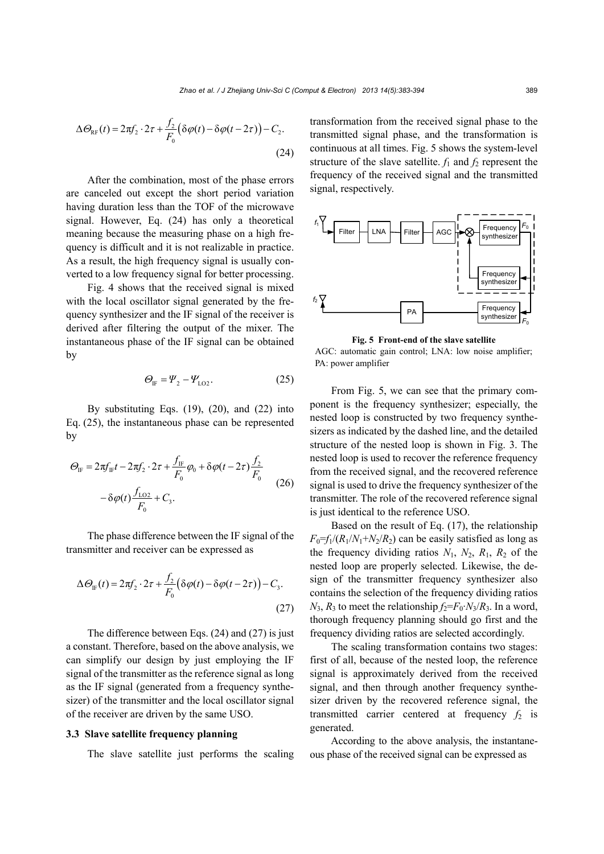$$
\Delta \Theta_{\text{RF}}(t) = 2\pi f_2 \cdot 2\tau + \frac{f_2}{F_0} \left( \delta \varphi(t) - \delta \varphi(t - 2\tau) \right) - C_2.
$$
\n(24)

After the combination, most of the phase errors are canceled out except the short period variation having duration less than the TOF of the microwave signal. However, Eq. (24) has only a theoretical meaning because the measuring phase on a high frequency is difficult and it is not realizable in practice. As a result, the high frequency signal is usually converted to a low frequency signal for better processing.

Fig. 4 shows that the received signal is mixed with the local oscillator signal generated by the frequency synthesizer and the IF signal of the receiver is derived after filtering the output of the mixer. The instantaneous phase of the IF signal can be obtained by

$$
\Theta_{\text{IF}} = \Psi_2 - \Psi_{\text{LO2}}.\tag{25}
$$

By substituting Eqs.  $(19)$ ,  $(20)$ , and  $(22)$  into Eq. (25), the instantaneous phase can be represented by

$$
\Theta_{\text{IF}} = 2\pi f_{\text{IF}} t - 2\pi f_2 \cdot 2\tau + \frac{f_{\text{IF}}}{F_0} \varphi_0 + \delta \varphi (t - 2\tau) \frac{f_2}{F_0}
$$
  
-  $\delta \varphi(t) \frac{f_{\text{LO2}}}{F_0} + C_3.$  (26)

The phase difference between the IF signal of the transmitter and receiver can be expressed as

$$
\Delta \Theta_{\text{IF}}(t) = 2\pi f_2 \cdot 2\tau + \frac{f_2}{F_0} \left( \delta \varphi(t) - \delta \varphi(t - 2\tau) \right) - C_3.
$$
\n(27)

The difference between Eqs. (24) and (27) is just a constant. Therefore, based on the above analysis, we can simplify our design by just employing the IF signal of the transmitter as the reference signal as long as the IF signal (generated from a frequency synthesizer) of the transmitter and the local oscillator signal of the receiver are driven by the same USO.

#### **3.3 Slave satellite frequency planning**

The slave satellite just performs the scaling

transformation from the received signal phase to the transmitted signal phase, and the transformation is continuous at all times. Fig. 5 shows the system-level structure of the slave satellite.  $f_1$  and  $f_2$  represent the frequency of the received signal and the transmitted signal, respectively.



**Fig. 5 Front-end of the slave satellite**  AGC: automatic gain control; LNA: low noise amplifier;

PA: power amplifier

From Fig. 5, we can see that the primary component is the frequency synthesizer; especially, the nested loop is constructed by two frequency synthesizers as indicated by the dashed line, and the detailed structure of the nested loop is shown in Fig. 3. The nested loop is used to recover the reference frequency from the received signal, and the recovered reference signal is used to drive the frequency synthesizer of the transmitter. The role of the recovered reference signal is just identical to the reference USO.

Based on the result of Eq. (17), the relationship  $F_0 = f_1/(R_1/N_1 + N_2/R_2)$  can be easily satisfied as long as the frequency dividing ratios  $N_1$ ,  $N_2$ ,  $R_1$ ,  $R_2$  of the nested loop are properly selected. Likewise, the design of the transmitter frequency synthesizer also contains the selection of the frequency dividing ratios  $N_3$ ,  $R_3$  to meet the relationship  $f_2 = F_0 \cdot N_3 / R_3$ . In a word, thorough frequency planning should go first and the frequency dividing ratios are selected accordingly.

The scaling transformation contains two stages: first of all, because of the nested loop, the reference signal is approximately derived from the received signal, and then through another frequency synthesizer driven by the recovered reference signal, the transmitted carrier centered at frequency  $f_2$  is generated.

According to the above analysis, the instantaneous phase of the received signal can be expressed as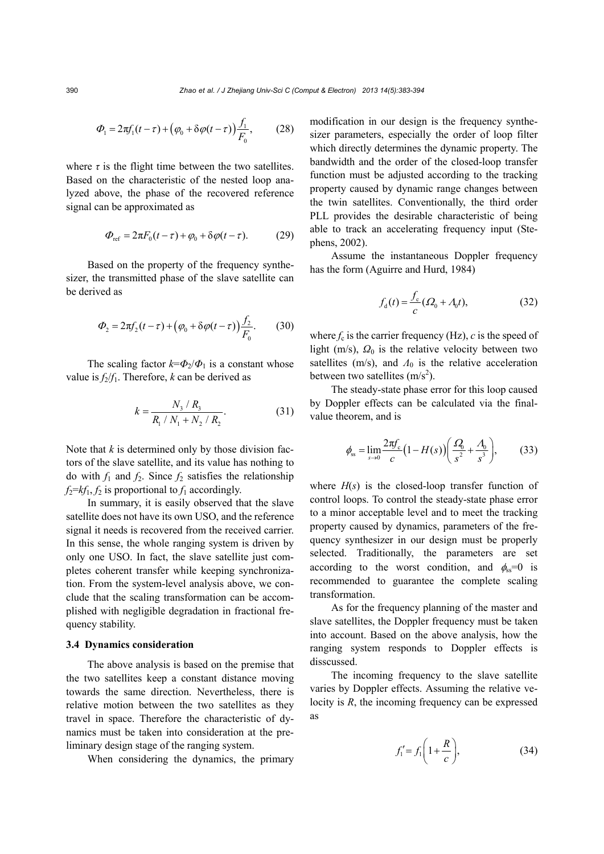$$
\Phi_1 = 2\pi f_1(t-\tau) + \left(\varphi_0 + \delta\varphi(t-\tau)\right) \frac{f_1}{F_0},\qquad(28)
$$

where  $\tau$  is the flight time between the two satellites. Based on the characteristic of the nested loop analyzed above, the phase of the recovered reference signal can be approximated as

$$
\Phi_{\text{ref}} = 2\pi F_0(t - \tau) + \varphi_0 + \delta\varphi(t - \tau). \tag{29}
$$

Based on the property of the frequency synthesizer, the transmitted phase of the slave satellite can be derived as

$$
\Phi_2 = 2\pi f_2(t-\tau) + (\varphi_0 + \delta \varphi(t-\tau)) \frac{f_2}{F_0}.
$$
 (30)

The scaling factor  $k = \Phi_2/\Phi_1$  is a constant whose value is  $f_2/f_1$ . Therefore, *k* can be derived as

$$
k = \frac{N_3 / R_3}{R_1 / N_1 + N_2 / R_2}.
$$
 (31)

Note that *k* is determined only by those division factors of the slave satellite, and its value has nothing to do with  $f_1$  and  $f_2$ . Since  $f_2$  satisfies the relationship  $f_2=kf_1, f_2$  is proportional to  $f_1$  accordingly.

In summary, it is easily observed that the slave satellite does not have its own USO, and the reference signal it needs is recovered from the received carrier. In this sense, the whole ranging system is driven by only one USO. In fact, the slave satellite just completes coherent transfer while keeping synchronization. From the system-level analysis above, we conclude that the scaling transformation can be accomplished with negligible degradation in fractional frequency stability.

# **3.4 Dynamics consideration**

The above analysis is based on the premise that the two satellites keep a constant distance moving towards the same direction. Nevertheless, there is relative motion between the two satellites as they travel in space. Therefore the characteristic of dynamics must be taken into consideration at the preliminary design stage of the ranging system.

When considering the dynamics, the primary

modification in our design is the frequency synthesizer parameters, especially the order of loop filter which directly determines the dynamic property. The bandwidth and the order of the closed-loop transfer function must be adjusted according to the tracking property caused by dynamic range changes between the twin satellites. Conventionally, the third order PLL provides the desirable characteristic of being able to track an accelerating frequency input (Stephens, 2002).

Assume the instantaneous Doppler frequency has the form (Aguirre and Hurd, 1984)

$$
f_{d}(t) = \frac{f_{c}}{c} (Q_{0} + A_{0}t),
$$
 (32)

where  $f_c$  is the carrier frequency (Hz),  $c$  is the speed of light (m/s),  $Q_0$  is the relative velocity between two satellites (m/s), and  $\Lambda_0$  is the relative acceleration between two satellites  $(m/s<sup>2</sup>)$ .

The steady-state phase error for this loop caused by Doppler effects can be calculated via the finalvalue theorem, and is

$$
\phi_{\rm ss} = \lim_{s \to 0} \frac{2\pi f_{\rm c}}{c} \left(1 - H(s)\right) \left(\frac{Q_0}{s^2} + \frac{A_0}{s^3}\right),\tag{33}
$$

where  $H(s)$  is the closed-loop transfer function of control loops. To control the steady-state phase error to a minor acceptable level and to meet the tracking property caused by dynamics, parameters of the frequency synthesizer in our design must be properly selected. Traditionally, the parameters are set according to the worst condition, and  $\phi_{ss}=0$  is recommended to guarantee the complete scaling transformation.

As for the frequency planning of the master and slave satellites, the Doppler frequency must be taken into account. Based on the above analysis, how the ranging system responds to Doppler effects is disscussed.

The incoming frequency to the slave satellite varies by Doppler effects. Assuming the relative velocity is *R*, the incoming frequency can be expressed as

$$
f_1' = f_1 \left( 1 + \frac{R}{c} \right),\tag{34}
$$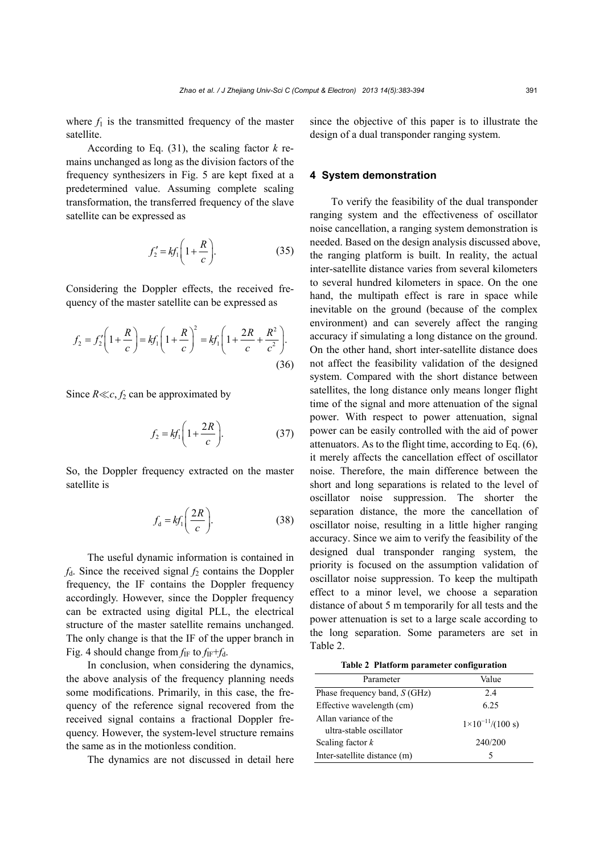where  $f_1$  is the transmitted frequency of the master satellite.

According to Eq. (31), the scaling factor *k* remains unchanged as long as the division factors of the frequency synthesizers in Fig. 5 are kept fixed at a predetermined value. Assuming complete scaling transformation, the transferred frequency of the slave satellite can be expressed as

$$
f_2' = kf_1\left(1 + \frac{R}{c}\right). \tag{35}
$$

Considering the Doppler effects, the received frequency of the master satellite can be expressed as

$$
f_2 = f_2' \left( 1 + \frac{R}{c} \right) = kf_1 \left( 1 + \frac{R}{c} \right)^2 = kf_1 \left( 1 + \frac{2R}{c} + \frac{R^2}{c^2} \right).
$$
\n(36)

Since  $R \ll c$ ,  $f_2$  can be approximated by

$$
f_2 = kf_1\left(1 + \frac{2R}{c}\right). \tag{37}
$$

So, the Doppler frequency extracted on the master satellite is

$$
f_{\rm d} = k f_{\rm l} \left( \frac{2R}{c} \right). \tag{38}
$$

The useful dynamic information is contained in  $f_d$ . Since the received signal  $f_2$  contains the Doppler frequency, the IF contains the Doppler frequency accordingly. However, since the Doppler frequency can be extracted using digital PLL, the electrical structure of the master satellite remains unchanged. The only change is that the IF of the upper branch in Fig. 4 should change from  $f_{IF}$  to  $f_{IF}+f_{d}$ .

In conclusion, when considering the dynamics, the above analysis of the frequency planning needs some modifications. Primarily, in this case, the frequency of the reference signal recovered from the received signal contains a fractional Doppler frequency. However, the system-level structure remains the same as in the motionless condition.

The dynamics are not discussed in detail here

since the objective of this paper is to illustrate the design of a dual transponder ranging system.

#### **4 System demonstration**

To verify the feasibility of the dual transponder ranging system and the effectiveness of oscillator noise cancellation, a ranging system demonstration is needed. Based on the design analysis discussed above, the ranging platform is built. In reality, the actual inter-satellite distance varies from several kilometers to several hundred kilometers in space. On the one hand, the multipath effect is rare in space while inevitable on the ground (because of the complex environment) and can severely affect the ranging accuracy if simulating a long distance on the ground. On the other hand, short inter-satellite distance does not affect the feasibility validation of the designed system. Compared with the short distance between satellites, the long distance only means longer flight time of the signal and more attenuation of the signal power. With respect to power attenuation, signal power can be easily controlled with the aid of power attenuators. As to the flight time, according to Eq. (6), it merely affects the cancellation effect of oscillator noise. Therefore, the main difference between the short and long separations is related to the level of oscillator noise suppression. The shorter the separation distance, the more the cancellation of oscillator noise, resulting in a little higher ranging accuracy. Since we aim to verify the feasibility of the designed dual transponder ranging system, the priority is focused on the assumption validation of oscillator noise suppression. To keep the multipath effect to a minor level, we choose a separation distance of about 5 m temporarily for all tests and the power attenuation is set to a large scale according to the long separation. Some parameters are set in Table 2.

| Table 2 Platform parameter configuration |
|------------------------------------------|
|------------------------------------------|

| Parameter                                        | Value                     |
|--------------------------------------------------|---------------------------|
| Phase frequency band, $S(GHz)$                   | 2.4                       |
| Effective wavelength (cm)                        | 6.25                      |
| Allan variance of the<br>ultra-stable oscillator | $1\times10^{-11}/(100 s)$ |
| Scaling factor $k$                               | 240/200                   |
| Inter-satellite distance (m)                     | ↖                         |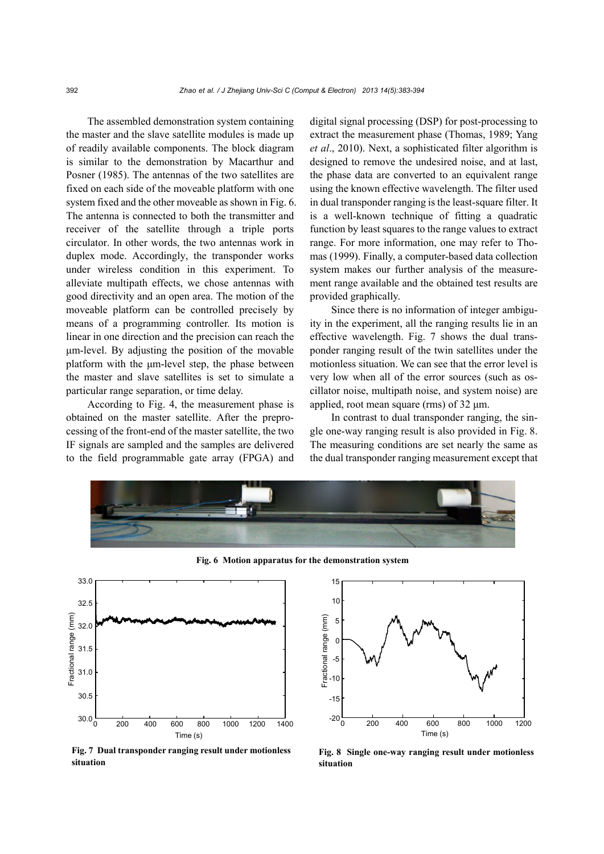The assembled demonstration system containing the master and the slave satellite modules is made up of readily available components. The block diagram is similar to the demonstration by Macarthur and Posner (1985). The antennas of the two satellites are fixed on each side of the moveable platform with one system fixed and the other moveable as shown in Fig. 6. The antenna is connected to both the transmitter and receiver of the satellite through a triple ports circulator. In other words, the two antennas work in duplex mode. Accordingly, the transponder works under wireless condition in this experiment. To alleviate multipath effects, we chose antennas with good directivity and an open area. The motion of the moveable platform can be controlled precisely by means of a programming controller. Its motion is linear in one direction and the precision can reach the μm-level. By adjusting the position of the movable platform with the μm-level step, the phase between the master and slave satellites is set to simulate a particular range separation, or time delay.

According to Fig. 4, the measurement phase is obtained on the master satellite. After the preprocessing of the front-end of the master satellite, the two IF signals are sampled and the samples are delivered to the field programmable gate array (FPGA) and digital signal processing (DSP) for post-processing to extract the measurement phase (Thomas, 1989; Yang *et al*., 2010). Next, a sophisticated filter algorithm is designed to remove the undesired noise, and at last, the phase data are converted to an equivalent range using the known effective wavelength. The filter used in dual transponder ranging is the least-square filter. It is a well-known technique of fitting a quadratic function by least squares to the range values to extract range. For more information, one may refer to Thomas (1999). Finally, a computer-based data collection system makes our further analysis of the measurement range available and the obtained test results are provided graphically.

Since there is no information of integer ambiguity in the experiment, all the ranging results lie in an effective wavelength. Fig. 7 shows the dual transponder ranging result of the twin satellites under the motionless situation. We can see that the error level is very low when all of the error sources (such as oscillator noise, multipath noise, and system noise) are applied, root mean square (rms) of 32 μm.

In contrast to dual transponder ranging, the single one-way ranging result is also provided in Fig. 8. The measuring conditions are set nearly the same as the dual transponder ranging measurement except that



**Fig. 6 Motion apparatus for the demonstration system** 



**Fig. 7 Dual transponder ranging result under motionless situation** 



**Fig. 8 Single one-way ranging result under motionless situation**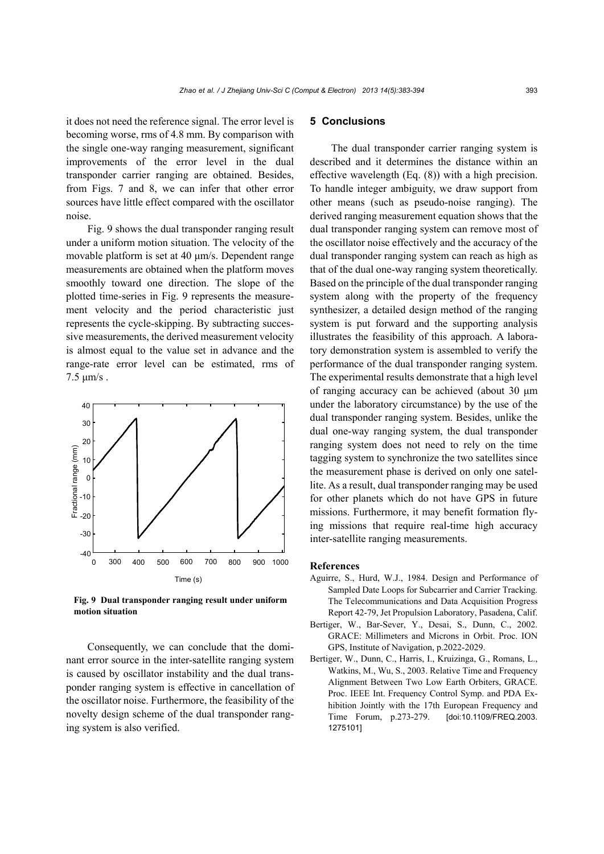it does not need the reference signal. The error level is becoming worse, rms of 4.8 mm. By comparison with the single one-way ranging measurement, significant improvements of the error level in the dual transponder carrier ranging are obtained. Besides, from Figs. 7 and 8, we can infer that other error sources have little effect compared with the oscillator noise.

Fig. 9 shows the dual transponder ranging result under a uniform motion situation. The velocity of the movable platform is set at 40 μm/s. Dependent range measurements are obtained when the platform moves smoothly toward one direction. The slope of the plotted time-series in Fig. 9 represents the measurement velocity and the period characteristic just represents the cycle-skipping. By subtracting successive measurements, the derived measurement velocity is almost equal to the value set in advance and the range-rate error level can be estimated, rms of 7.5 μm/s .



**Fig. 9 Dual transponder ranging result under uniform motion situation** 

Consequently, we can conclude that the dominant error source in the inter-satellite ranging system is caused by oscillator instability and the dual transponder ranging system is effective in cancellation of the oscillator noise. Furthermore, the feasibility of the novelty design scheme of the dual transponder ranging system is also verified.

# **5 Conclusions**

The dual transponder carrier ranging system is described and it determines the distance within an effective wavelength (Eq. (8)) with a high precision. To handle integer ambiguity, we draw support from other means (such as pseudo-noise ranging). The derived ranging measurement equation shows that the dual transponder ranging system can remove most of the oscillator noise effectively and the accuracy of the dual transponder ranging system can reach as high as that of the dual one-way ranging system theoretically. Based on the principle of the dual transponder ranging system along with the property of the frequency synthesizer, a detailed design method of the ranging system is put forward and the supporting analysis illustrates the feasibility of this approach. A laboratory demonstration system is assembled to verify the performance of the dual transponder ranging system. The experimental results demonstrate that a high level of ranging accuracy can be achieved (about 30 μm under the laboratory circumstance) by the use of the dual transponder ranging system. Besides, unlike the dual one-way ranging system, the dual transponder ranging system does not need to rely on the time tagging system to synchronize the two satellites since the measurement phase is derived on only one satellite. As a result, dual transponder ranging may be used for other planets which do not have GPS in future missions. Furthermore, it may benefit formation flying missions that require real-time high accuracy inter-satellite ranging measurements.

#### **References**

- Aguirre, S., Hurd, W.J., 1984. Design and Performance of Sampled Date Loops for Subcarrier and Carrier Tracking. The Telecommunications and Data Acquisition Progress Report 42-79, Jet Propulsion Laboratory, Pasadena, Calif.
- Bertiger, W., Bar-Sever, Y., Desai, S., Dunn, C., 2002. GRACE: Millimeters and Microns in Orbit. Proc. ION GPS, Institute of Navigation, p.2022-2029.
- Bertiger, W., Dunn, C., Harris, I., Kruizinga, G., Romans, L., Watkins, M., Wu, S., 2003. Relative Time and Frequency Alignment Between Two Low Earth Orbiters, GRACE. Proc. IEEE Int. Frequency Control Symp. and PDA Exhibition Jointly with the 17th European Frequency and Time Forum, p.273-279. [doi:10.1109/FREQ.2003. 1275101]